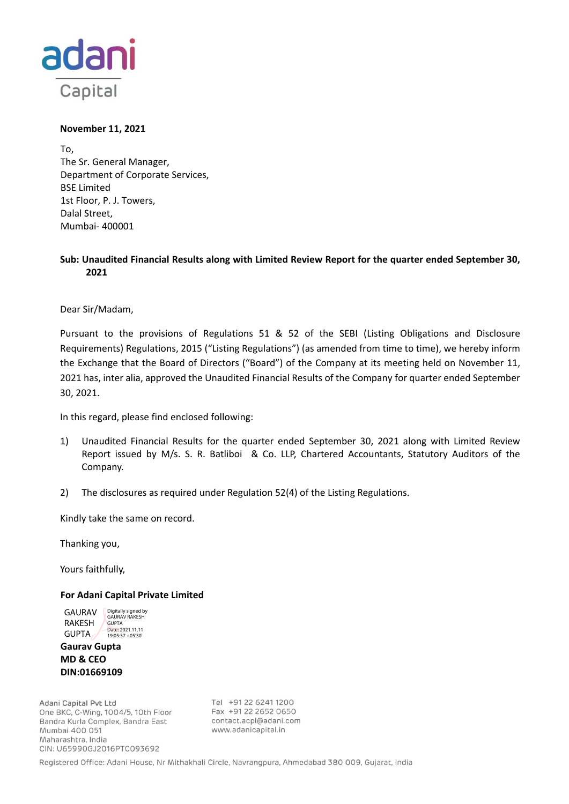

# **November 11, 2021**

To, The Sr. General Manager, Department of Corporate Services, BSE Limited 1st Floor, P. J. Towers, Dalal Street, Mumbai‐ 400001

# **Sub: Unaudited Financial Results along with Limited Review Report for the quarter ended September 30, 2021**

Dear Sir/Madam,

Pursuant to the provisions of Regulations 51 & 52 of the SEBI (Listing Obligations and Disclosure Requirements) Regulations, 2015 ("Listing Regulations") (as amended from time to time), we hereby inform the Exchange that the Board of Directors ("Board") of the Company at its meeting held on November 11, 2021 has, inter alia, approved the Unaudited Financial Results of the Company for quarter ended September 30, 2021.

In this regard, please find enclosed following:

- 1) Unaudited Financial Results for the quarter ended September 30, 2021 along with Limited Review Report issued by M/s. S. R. Batliboi & Co. LLP, Chartered Accountants, Statutory Auditors of the Company.
- 2) The disclosures as required under Regulation 52(4) of the Listing Regulations.

Kindly take the same on record.

Thanking you,

Yours faithfully,

# **For Adani Capital Private Limited**

GAURAV RAKESH GUPTA Digitally signed by GAURAV RAKESH **GUPTA** Date: 2021.11.11 19:05:37 +05'30'

**Gaurav Gupta MD & CEO DIN:01669109**

Adani Capital Pvt Ltd One BKC, C-Wing, 1004/5, 10th Floor Bandra Kurla Complex, Bandra East Mumbai 400 051 Maharashtra, India CIN: U65990GJ2016PTC093692

Tel +91 22 6241 1200 Fax +91 22 2652 0650 contact.acpl@adani.com www.adanicapital.in

Registered Office: Adani House, Nr Mithakhali Circle, Navrangpura, Ahmedabad 380 009, Gujarat, India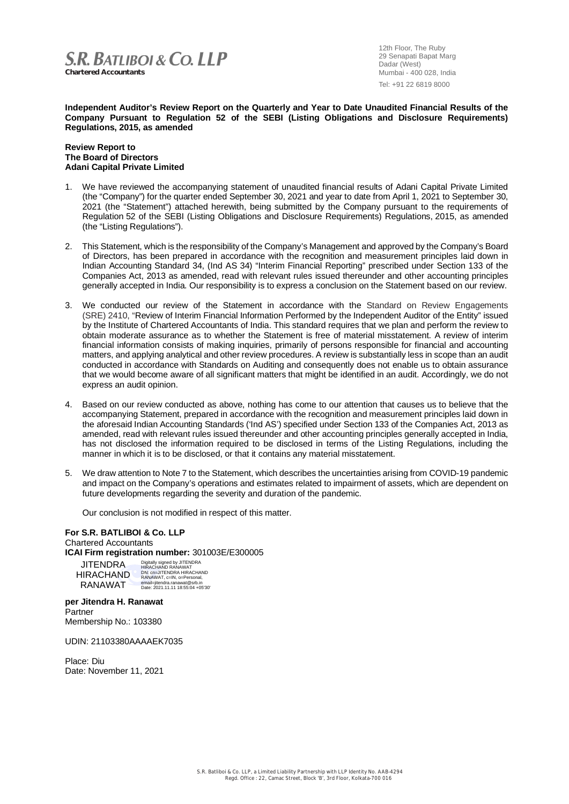

12th Floor, The Ruby 29 Senapati Bapat Marg Dadar (West) Mumbai - 400 028, India Tel: +91 22 6819 8000

**Independent Auditor's Review Report on the Quarterly and Year to Date Unaudited Financial Results of the Company Pursuant to Regulation 52 of the SEBI (Listing Obligations and Disclosure Requirements) Regulations, 2015, as amended**

### **Review Report to The Board of Directors Adani Capital Private Limited**

- 1. We have reviewed the accompanying statement of unaudited financial results of Adani Capital Private Limited (the "Company") for the quarter ended September 30, 2021 and year to date from April 1, 2021 to September 30, 2021 (the "Statement") attached herewith, being submitted by the Company pursuant to the requirements of Regulation 52 of the SEBI (Listing Obligations and Disclosure Requirements) Regulations, 2015, as amended (the "Listing Regulations").
- 2. This Statement, which is the responsibility of the Company's Management and approved by the Company's Board of Directors, has been prepared in accordance with the recognition and measurement principles laid down in Indian Accounting Standard 34, (Ind AS 34) "Interim Financial Reporting" prescribed under Section 133 of the Companies Act, 2013 as amended, read with relevant rules issued thereunder and other accounting principles generally accepted in India. Our responsibility is to express a conclusion on the Statement based on our review.
- 3. We conducted our review of the Statement in accordance with the Standard on Review Engagements (SRE) 2410, "Review of Interim Financial Information Performed by the Independent Auditor of the Entity" issued by the Institute of Chartered Accountants of India. This standard requires that we plan and perform the review to obtain moderate assurance as to whether the Statement is free of material misstatement. A review of interim financial information consists of making inquiries, primarily of persons responsible for financial and accounting matters, and applying analytical and other review procedures. A review is substantially less in scope than an audit conducted in accordance with Standards on Auditing and consequently does not enable us to obtain assurance that we would become aware of all significant matters that might be identified in an audit. Accordingly, we do not express an audit opinion.
- 4. Based on our review conducted as above, nothing has come to our attention that causes us to believe that the accompanying Statement, prepared in accordance with the recognition and measurement principles laid down in the aforesaid Indian Accounting Standards ('Ind AS') specified under Section 133 of the Companies Act, 2013 as amended, read with relevant rules issued thereunder and other accounting principles generally accepted in India, has not disclosed the information required to be disclosed in terms of the Listing Regulations, including the manner in which it is to be disclosed, or that it contains any material misstatement.
- 5. We draw attention to Note 7 to the Statement, which describes the uncertainties arising from COVID-19 pandemic and impact on the Company's operations and estimates related to impairment of assets, which are dependent on future developments regarding the severity and duration of the pandemic.

Our conclusion is not modified in respect of this matter.

#### **For S.R. BATLIBOI & Co. LLP** Chartered Accountants

**ICAI Firm registration number:** 301003E/E300005

| Digitally signed by JITENDRA      |
|-----------------------------------|
| <b>HIRACHAND RANAWAT</b>          |
| DN: cn=JITENDRA HIRACHAND         |
| RANAWAT, c=IN, o=Personal,        |
| email=jitendra.ranawat@srb.in     |
| Date: 2021.11.11 18:55:04 +05'30' |
|                                   |

**per Jitendra H. Ranawat Partner** Membership No.: 103380

UDIN: 21103380AAAAEK7035

Place: Diu Date: November 11, 2021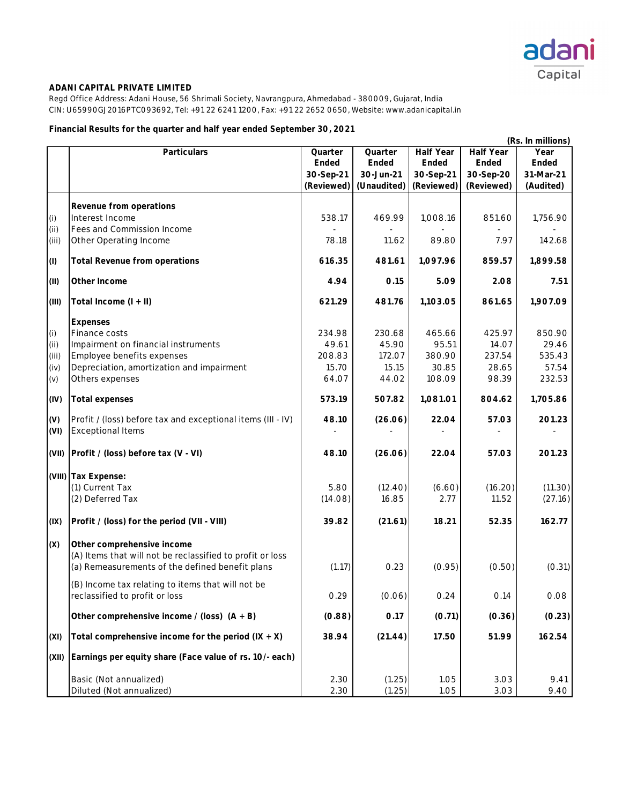

Regd Office Address: Adani House, 56 Shrimali Society, Navrangpura, Ahmedabad - 380009, Gujarat, India CIN: U65990GJ2016PTC093692, Tel: +91 22 6241 1200, Fax: +91 22 2652 0650, Website: www.adanicapital.in

# **Financial Results for the quarter and half year ended September 30, 2021**

|       |                                                             |            |             |                  |                  | (Rs. In millions) |
|-------|-------------------------------------------------------------|------------|-------------|------------------|------------------|-------------------|
|       | Particulars                                                 | Quarter    | Quarter     | <b>Half Year</b> | <b>Half Year</b> | Year              |
|       |                                                             | Ended      | Ended       | Ended            | Ended            | Ended             |
|       |                                                             | 30-Sep-21  | 30-Jun-21   | 30-Sep-21        | 30-Sep-20        | 31-Mar-21         |
|       |                                                             | (Reviewed) | (Unaudited) | (Reviewed)       | (Reviewed)       | (Audited)         |
|       | Revenue from operations                                     |            |             |                  |                  |                   |
| (i)   | Interest Income                                             | 538.17     | 469.99      | 1,008.16         | 851.60           | 1,756.90          |
| (i)   | Fees and Commission Income                                  |            |             |                  |                  |                   |
| (iii) | Other Operating Income                                      | 78.18      | 11.62       | 89.80            | 7.97             | 142.68            |
|       | <b>Total Revenue from operations</b>                        | 616.35     | 481.61      | 1,097.96         | 859.57           | 1,899.58          |
| (1)   |                                                             |            |             |                  |                  |                   |
| (II)  | Other Income                                                | 4.94       | 0.15        | 5.09             | 2.08             | 7.51              |
| (III) | Total Income (I + II)                                       | 621.29     | 481.76      | 1,103.05         | 861.65           | 1,907.09          |
|       | <b>Expenses</b>                                             |            |             |                  |                  |                   |
| (i)   | Finance costs                                               | 234.98     | 230.68      | 465.66           | 425.97           | 850.90            |
| (i)   | Impairment on financial instruments                         | 49.61      | 45.90       | 95.51            | 14.07            | 29.46             |
| (iii) | Employee benefits expenses                                  | 208.83     | 172.07      | 380.90           | 237.54           | 535.43            |
| (iv)  | Depreciation, amortization and impairment                   | 15.70      | 15.15       | 30.85            | 28.65            | 57.54             |
| (v)   | Others expenses                                             | 64.07      | 44.02       | 108.09           | 98.39            | 232.53            |
| (IV)  | <b>Total expenses</b>                                       | 573.19     | 507.82      | 1,081.01         | 804.62           | 1,705.86          |
| (V)   | Profit / (loss) before tax and exceptional items (III - IV) | 48.10      | (26.06)     | 22.04            | 57.03            | 201.23            |
| (VI)  | <b>Exceptional Items</b>                                    |            |             |                  |                  |                   |
| (VII) | Profit / (loss) before tax (V - VI)                         | 48.10      | (26.06)     | 22.04            | 57.03            | 201.23            |
|       | (VIII) Tax Expense:                                         |            |             |                  |                  |                   |
|       | (1) Current Tax                                             | 5.80       | (12.40)     | (6.60)           | (16.20)          | (11.30)           |
|       | (2) Deferred Tax                                            | (14.08)    | 16.85       | 2.77             | 11.52            | (27.16)           |
| (IX)  | Profit / (loss) for the period (VII - VIII)                 | 39.82      | (21.61)     | 18.21            | 52.35            | 162.77            |
| (X)   | Other comprehensive income                                  |            |             |                  |                  |                   |
|       | (A) Items that will not be reclassified to profit or loss   |            |             |                  |                  |                   |
|       | (a) Remeasurements of the defined benefit plans             | (1.17)     | 0.23        | (0.95)           | (0.50)           | (0.31)            |
|       | (B) Income tax relating to items that will not be           |            |             |                  |                  |                   |
|       | reclassified to profit or loss                              | 0.29       | (0.06)      | 0.24             | 0.14             | 0.08              |
|       | Other comprehensive income / (loss) $(A + B)$               | (0.88)     | 0.17        | (0.71)           | (0.36)           | (0.23)            |
| (XI)  | Total comprehensive income for the period $(IX + X)$        | 38.94      | (21.44)     | 17.50            | 51.99            | 162.54            |
| (XII) | Earnings per equity share (Face value of rs. 10/- each)     |            |             |                  |                  |                   |
|       | Basic (Not annualized)                                      | 2.30       | (1.25)      | 1.05             | 3.03             | 9.41              |
|       | Diluted (Not annualized)                                    | 2.30       | (1.25)      | 1.05             | 3.03             | 9.40              |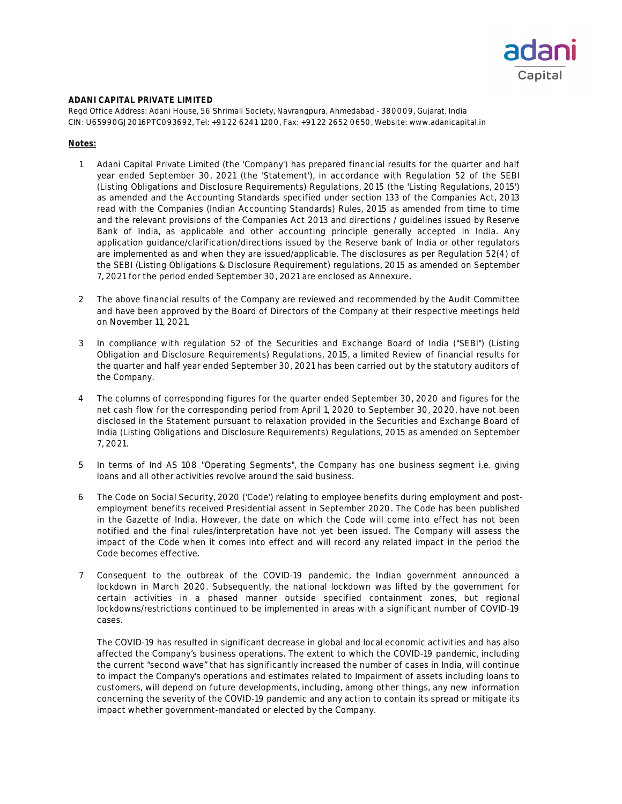

Regd Office Address: Adani House, 56 Shrimali Society, Navrangpura, Ahmedabad - 380009, Gujarat, India CIN: U65990GJ2016PTC093692, Tel: +91 22 6241 1200, Fax: +91 22 2652 0650, Website: www.adanicapital.in

### **Notes:**

- 1 Adani Capital Private Limited (the 'Company') has prepared financial results for the quarter and half year ended September 30, 2021 (the 'Statement'), in accordance with Regulation 52 of the SEBI (Listing Obligations and Disclosure Requirements) Regulations, 2015 (the 'Listing Regulations, 2015') as amended and the Accounting Standards specified under section 133 of the Companies Act, 2013 read with the Companies (Indian Accounting Standards) Rules, 2015 as amended from time to time and the relevant provisions of the Companies Act 2013 and directions / guidelines issued by Reserve Bank of India, as applicable and other accounting principle generally accepted in India. Any application guidance/clarification/directions issued by the Reserve bank of India or other regulators are implemented as and when they are issued/applicable. The disclosures as per Regulation 52(4) of the SEBI (Listing Obligations & Disclosure Requirement) regulations, 2015 as amended on September 7, 2021 for the period ended September 30, 2021 are enclosed as Annexure.
- 2 The above financial results of the Company are reviewed and recommended by the Audit Committee and have been approved by the Board of Directors of the Company at their respective meetings held on November 11, 2021.
- 3 In compliance with regulation 52 of the Securities and Exchange Board of India ("SEBl") (Listing Obligation and Disclosure Requirements) Regulations, 2015, a limited Review of financial results for the quarter and half year ended September 30, 2021 has been carried out by the statutory auditors of the Company.
- 4 The columns of corresponding figures for the quarter ended September 30, 2020 and figures for the net cash flow for the corresponding period from April 1, 2020 to September 30, 2020, have not been disclosed in the Statement pursuant to relaxation provided in the Securities and Exchange Board of India (Listing Obligations and Disclosure Requirements) Regulations, 2015 as amended on September 7, 2021.
- 5 In terms of Ind AS 108 "Operating Segments", the Company has one business segment i.e. giving loans and all other activities revolve around the said business.
- 6 The Code on Social Security, 2020 ('Code') relating to employee benefits during employment and postemployment benefits received Presidential assent in September 2020. The Code has been published in the Gazette of India. However, the date on which the Code will come into effect has not been notified and the final rules/interpretation have not yet been issued. The Company will assess the impact of the Code when it comes into effect and will record any related impact in the period the Code becomes effective.
- 7 Consequent to the outbreak of the COVID-19 pandemic, the Indian government announced a lockdown in March 2020. Subsequently, the national lockdown was lifted by the government for certain activities in a phased manner outside specified containment zones, but regional lockdowns/restrictions continued to be implemented in areas with a significant number of COVID-19 cases.

The COVID-19 has resulted in significant decrease in global and local economic activities and has also affected the Company's business operations. The extent to which the COVID-19 pandemic, including the current "second wave" that has significantly increased the number of cases in India, will continue to impact the Company's operations and estimates related to Impairment of assets including loans to customers, will depend on future developments, including, among other things, any new information concerning the severity of the COVID-19 pandemic and any action to contain its spread or mitigate its impact whether government-mandated or elected by the Company.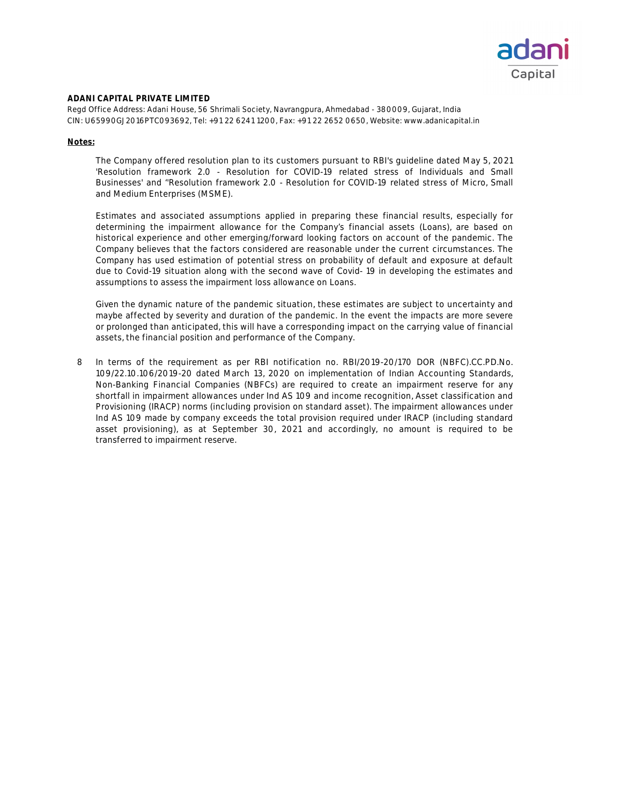

Regd Office Address: Adani House, 56 Shrimali Society, Navrangpura, Ahmedabad - 380009, Gujarat, India CIN: U65990GJ2016PTC093692, Tel: +91 22 6241 1200, Fax: +91 22 2652 0650, Website: www.adanicapital.in

### **Notes:**

The Company offered resolution plan to its customers pursuant to RBI's guideline dated May 5, 2021 'Resolution framework 2.0 - Resolution for COVID-19 related stress of Individuals and Small Businesses' and ''Resolution framework 2.0 - Resolution for COVID-19 related stress of Micro, Small and Medium Enterprises (MSME).

Estimates and associated assumptions applied in preparing these financial results, especially for determining the impairment allowance for the Company's financial assets (Loans), are based on historical experience and other emerging/forward looking factors on account of the pandemic. The Company believes that the factors considered are reasonable under the current circumstances. The Company has used estimation of potential stress on probability of default and exposure at default due to Covid-19 situation along with the second wave of Covid- 19 in developing the estimates and assumptions to assess the impairment loss allowance on Loans.

Given the dynamic nature of the pandemic situation, these estimates are subject to uncertainty and maybe affected by severity and duration of the pandemic. In the event the impacts are more severe or prolonged than anticipated, this will have a corresponding impact on the carrying value of financial assets, the financial position and performance of the Company.

8 In terms of the requirement as per RBI notification no. RBI/2019-20/170 DOR (NBFC).CC.PD.No. 109/22.10.106/2019-20 dated March 13, 2020 on implementation of Indian Accounting Standards, Non-Banking Financial Companies (NBFCs) are required to create an impairment reserve for any shortfall in impairment allowances under Ind AS 109 and income recognition, Asset classification and Provisioning (IRACP) norms (including provision on standard asset). The impairment allowances under Ind AS 109 made by company exceeds the total provision required under IRACP (including standard asset provisioning), as at September 30, 2021 and accordingly, no amount is required to be transferred to impairment reserve.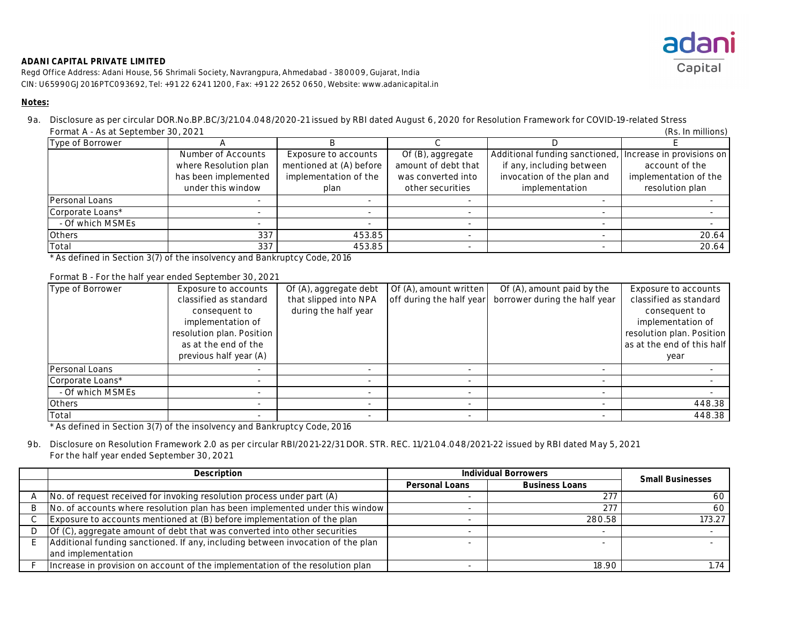

Regd Office Address: Adani House, 56 Shrimali Society, Navrangpura, Ahmedabad - 380009, Gujarat, India CIN: U65990GJ2016PTC093692, Tel: +91 22 6241 1200, Fax: +91 22 2652 0650, Website: www.adanicapital.in

#### **Notes:**

9a. Disclosure as per circular DOR.No.BP.BC/3/21.04.048/2020-21 issued by RBI dated August 6, 2020 for Resolution Framework for COVID-19-related Stress (Rs. In millions) Format A - As at September 30, 2021

| $1$ of $1.04111$ $1.0041$ or $1.0011$ $1.0011$ $1.0011$<br>(113. 111 1111111101 137 |                       |                         |                     |                                                          |                       |
|-------------------------------------------------------------------------------------|-----------------------|-------------------------|---------------------|----------------------------------------------------------|-----------------------|
| Type of Borrower                                                                    |                       |                         |                     |                                                          |                       |
|                                                                                     | Number of Accounts    | Exposure to accounts    | Of (B), aggregate   | Additional funding sanctioned, Increase in provisions on |                       |
|                                                                                     | where Resolution plan | mentioned at (A) before | amount of debt that | if any, including between                                | account of the        |
|                                                                                     | has been implemented  | implementation of the   | was converted into  | invocation of the plan and                               | implementation of the |
|                                                                                     | under this window     | plan                    | other securities    | implementation                                           | resolution plan       |
| Personal Loans                                                                      |                       |                         |                     |                                                          |                       |
| Corporate Loans*                                                                    |                       |                         |                     |                                                          |                       |
| - Of which MSMEs                                                                    |                       |                         |                     |                                                          |                       |
| <b>Others</b>                                                                       | 337                   | 453.85                  |                     |                                                          | 20.64                 |
| Total                                                                               | 337                   | 453.85                  |                     |                                                          | 20.64                 |

\* As defined in Section 3(7) of the insolvency and Bankruptcy Code, 2016

#### Format B - For the half year ended September 30, 2021

| Type of Borrower | Exposure to accounts      | Of (A), aggregate debt | Of (A), amount written   | Of (A), amount paid by the    | Exposure to accounts       |
|------------------|---------------------------|------------------------|--------------------------|-------------------------------|----------------------------|
|                  | classified as standard    | that slipped into NPA  | off during the half year | borrower during the half year | classified as standard     |
|                  | consequent to             | during the half year   |                          |                               | consequent to              |
|                  | implementation of         |                        |                          |                               | implementation of          |
|                  | resolution plan. Position |                        |                          |                               | resolution plan. Position  |
|                  | as at the end of the      |                        |                          |                               | as at the end of this half |
|                  | previous half year (A)    |                        |                          |                               | year                       |
| Personal Loans   |                           |                        | -                        |                               |                            |
| Corporate Loans* |                           |                        | $\overline{\phantom{a}}$ |                               |                            |
| - Of which MSMEs |                           |                        | $\overline{\phantom{a}}$ |                               |                            |
| <b>Others</b>    |                           |                        | $\overline{\phantom{a}}$ |                               | 448.38                     |
| Total            |                           |                        |                          |                               | 448.38                     |

\* As defined in Section 3(7) of the insolvency and Bankruptcy Code, 2016

# 9b. Disclosure on Resolution Framework 2.0 as per circular RBI/2021-22/31 DOR. STR. REC. 11/21.04.048/2021-22 issued by RBI dated May 5, 2021 For the half year ended September 30, 2021

| Description                                                                       | <b>Individual Borrowers</b> | <b>Small Businesses</b> |        |
|-----------------------------------------------------------------------------------|-----------------------------|-------------------------|--------|
|                                                                                   | <b>Personal Loans</b>       | <b>Business Loans</b>   |        |
| No. of request received for invoking resolution process under part (A)            |                             | 277                     | 60     |
| No. of accounts where resolution plan has been implemented under this window      |                             | 277                     | 60     |
| Exposure to accounts mentioned at (B) before implementation of the plan           |                             | 280.58                  | 173.27 |
| $\vert$ Of (C), aggregate amount of debt that was converted into other securities |                             |                         |        |
| Additional funding sanctioned. If any, including between invocation of the plan   |                             |                         |        |
| and implementation                                                                |                             |                         |        |
| Increase in provision on account of the implementation of the resolution plan     |                             | 18.90                   | 74،،   |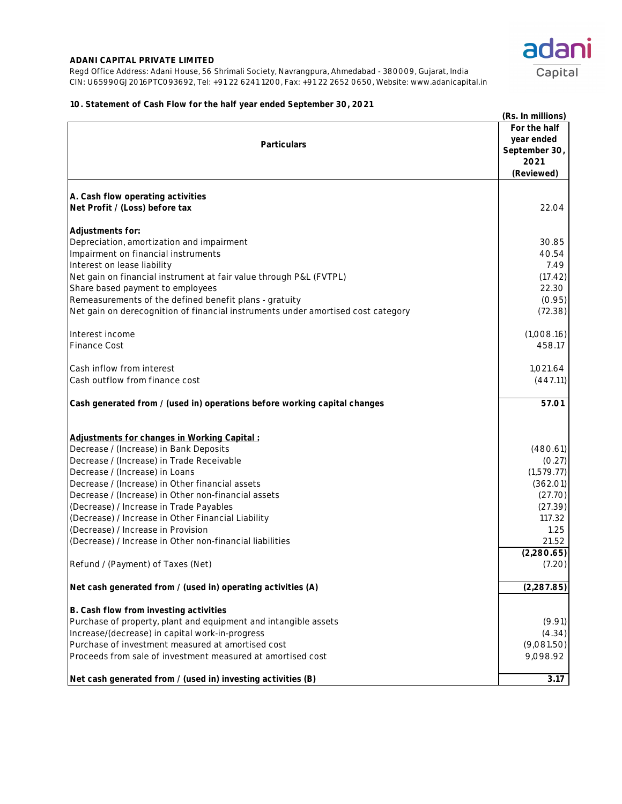Regd Office Address: Adani House, 56 Shrimali Society, Navrangpura, Ahmedabad - 380009, Gujarat, India CIN: U65990GJ2016PTC093692, Tel: +91 22 6241 1200, Fax: +91 22 2652 0650, Website: www.adanicapital.in



## **10. Statement of Cash Flow for the half year ended September 30, 2021**

|                                                                                  | (Rs. In millions) |
|----------------------------------------------------------------------------------|-------------------|
|                                                                                  | For the half      |
| <b>Particulars</b>                                                               | year ended        |
|                                                                                  | September 30,     |
|                                                                                  | 2021              |
|                                                                                  | (Reviewed)        |
| A. Cash flow operating activities                                                |                   |
| Net Profit / (Loss) before tax                                                   | 22.04             |
| Adjustments for:                                                                 |                   |
| Depreciation, amortization and impairment                                        | 30.85             |
| Impairment on financial instruments                                              | 40.54             |
| Interest on lease liability                                                      | 7.49              |
| Net gain on financial instrument at fair value through P&L (FVTPL)               | (17.42)           |
| Share based payment to employees                                                 | 22.30             |
| Remeasurements of the defined benefit plans - gratuity                           | (0.95)            |
| Net gain on derecognition of financial instruments under amortised cost category | (72.38)           |
| Interest income                                                                  | (1,008.16)        |
| <b>Finance Cost</b>                                                              | 458.17            |
| Cash inflow from interest                                                        | 1,021.64          |
| Cash outflow from finance cost                                                   | (447.11)          |
| Cash generated from / (used in) operations before working capital changes        | 57.01             |
| Adjustments for changes in Working Capital:                                      |                   |
| Decrease / (Increase) in Bank Deposits                                           | (480.61)          |
| Decrease / (Increase) in Trade Receivable                                        | (0.27)            |
| Decrease / (Increase) in Loans                                                   | (1,579.77)        |
| Decrease / (Increase) in Other financial assets                                  | (362.01)          |
| Decrease / (Increase) in Other non-financial assets                              | (27.70)           |
| (Decrease) / Increase in Trade Payables                                          | (27.39)           |
| (Decrease) / Increase in Other Financial Liability                               | 117.32            |
| (Decrease) / Increase in Provision                                               | 1.25              |
| (Decrease) / Increase in Other non-financial liabilities                         | 21.52             |
|                                                                                  | (2,280.65)        |
| Refund / (Payment) of Taxes (Net)                                                | (7.20)            |
| Net cash generated from / (used in) operating activities (A)                     | (2, 287.85)       |
|                                                                                  |                   |
| B. Cash flow from investing activities                                           |                   |
| Purchase of property, plant and equipment and intangible assets                  | (9.91)            |
| Increase/(decrease) in capital work-in-progress                                  | (4.34)            |
| Purchase of investment measured at amortised cost                                | (9,081.50)        |
| Proceeds from sale of investment measured at amortised cost                      | 9,098.92          |
| Net cash generated from / (used in) investing activities (B)                     | 3.17              |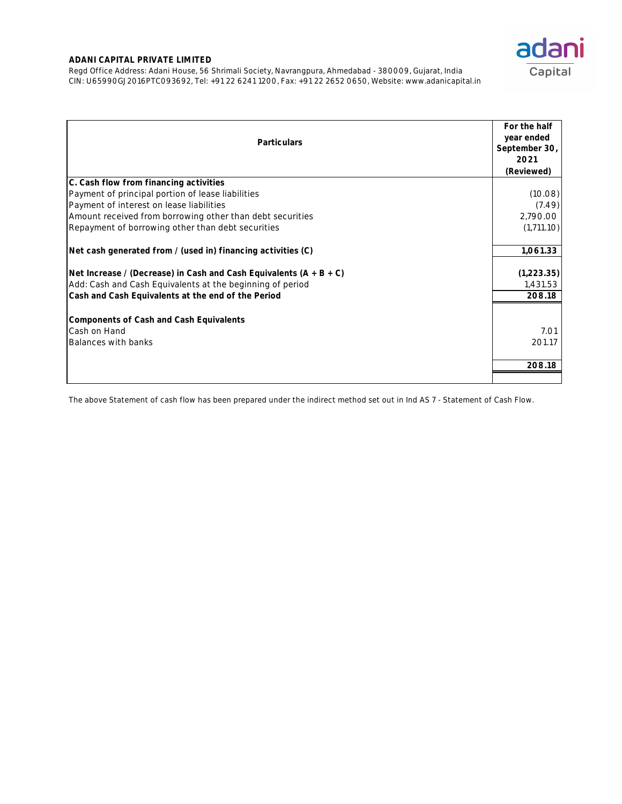Regd Office Address: Adani House, 56 Shrimali Society, Navrangpura, Ahmedabad - 380009, Gujarat, India CIN: U65990GJ2016PTC093692, Tel: +91 22 6241 1200, Fax: +91 22 2652 0650, Website: www.adanicapital.in

| <b>Particulars</b>                                                   | For the half<br>year ended<br>September 30,<br>2021 |
|----------------------------------------------------------------------|-----------------------------------------------------|
| C. Cash flow from financing activities                               | (Reviewed)                                          |
| Payment of principal portion of lease liabilities                    | (10.08)                                             |
| Payment of interest on lease liabilities                             | (7.49)                                              |
| Amount received from borrowing other than debt securities            | 2,790.00                                            |
| Repayment of borrowing other than debt securities                    | (1,711.10)                                          |
|                                                                      |                                                     |
| Net cash generated from / (used in) financing activities (C)         | 1,061.33                                            |
| Net Increase / (Decrease) in Cash and Cash Equivalents $(A + B + C)$ | (1,223.35)                                          |
| Add: Cash and Cash Equivalents at the beginning of period            | 1,431.53                                            |
| Cash and Cash Equivalents at the end of the Period                   | 208.18                                              |
|                                                                      |                                                     |
| <b>Components of Cash and Cash Equivalents</b>                       |                                                     |
| Cash on Hand                                                         | 7.01                                                |
| <b>Balances with banks</b>                                           | 201.17                                              |
|                                                                      |                                                     |
|                                                                      | 208.18                                              |
|                                                                      |                                                     |

The above Statement of cash flow has been prepared under the indirect method set out in Ind AS 7 - Statement of Cash Flow.

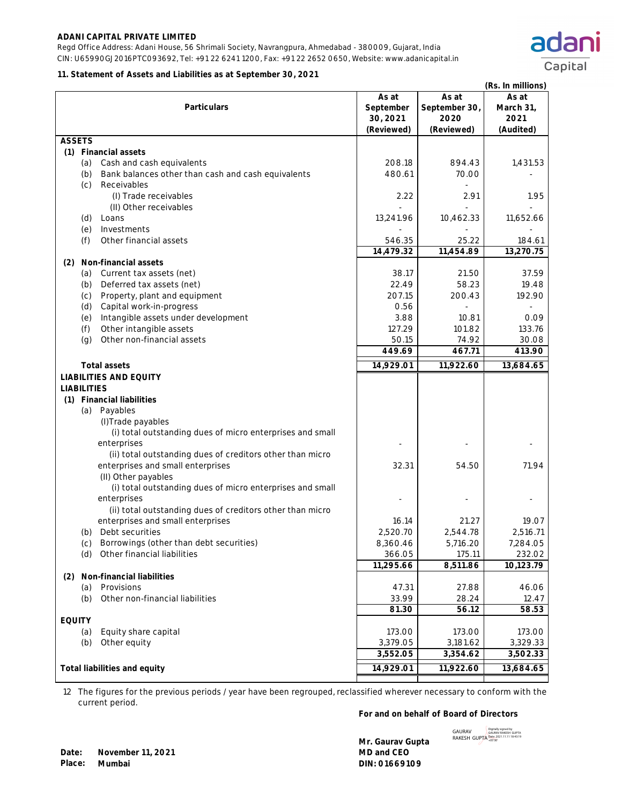Regd Office Address: Adani House, 56 Shrimali Society, Navrangpura, Ahmedabad - 380009, Gujarat, India CIN: U65990GJ2016PTC093692, Tel: +91 22 6241 1200, Fax: +91 22 2652 0650, Website: www.adanicapital.in

#### **11. Statement of Assets and Liabilities as at September 30, 2021**

|                                                           |                                |                                | (Rs. In millions)          |
|-----------------------------------------------------------|--------------------------------|--------------------------------|----------------------------|
| <b>Particulars</b>                                        | As at<br>September<br>30, 2021 | As at<br>September 30,<br>2020 | As at<br>March 31,<br>2021 |
|                                                           | (Reviewed)                     | (Reviewed)                     | (Audited)                  |
| <b>ASSETS</b>                                             |                                |                                |                            |
| (1) Financial assets                                      |                                |                                |                            |
| Cash and cash equivalents<br>(a)                          | 208.18                         | 894.43                         | 1,431.53                   |
| Bank balances other than cash and cash equivalents<br>(b) | 480.61                         | 70.00                          |                            |
| (c)<br>Receivables                                        |                                |                                |                            |
| (I) Trade receivables                                     | 2.22                           | 2.91                           | 1.95                       |
| (II) Other receivables                                    |                                |                                |                            |
| Loans<br>(d)                                              | 13,241.96                      | 10,462.33                      | 11,652.66                  |
| (e)<br>Investments                                        |                                |                                |                            |
| Other financial assets<br>(f)                             | 546.35<br>14,479.32            | 25.22<br>11,454.89             | 184.61<br>13,270.75        |
| Non-financial assets<br>(2)                               |                                |                                |                            |
| Current tax assets (net)<br>(a)                           | 38.17                          | 21.50                          | 37.59                      |
| Deferred tax assets (net)<br>(b)                          | 22.49                          | 58.23                          | 19.48                      |
| Property, plant and equipment<br>(c)                      | 207.15                         | 200.43                         | 192.90                     |
| Capital work-in-progress<br>(d)                           | 0.56                           |                                |                            |
| Intangible assets under development<br>(e)                | 3.88                           | 10.81                          | 0.09                       |
| (f)<br>Other intangible assets                            | 127.29                         | 101.82                         | 133.76                     |
| Other non-financial assets<br>(g)                         | 50.15                          | 74.92                          | 30.08                      |
|                                                           | 449.69                         | 467.71                         | 413.90                     |
| <b>Total assets</b>                                       | 14,929.01                      | 11,922.60                      | 13,684.65                  |
| <b>LIABILITIES AND EQUITY</b>                             |                                |                                |                            |
| <b>LIABILITIES</b>                                        |                                |                                |                            |
| (1) Financial liabilities                                 |                                |                                |                            |
| Payables<br>(a)                                           |                                |                                |                            |
| (I) Trade payables                                        |                                |                                |                            |
| (i) total outstanding dues of micro enterprises and small |                                |                                |                            |
| enterprises                                               |                                |                                |                            |
| (ii) total outstanding dues of creditors other than micro |                                |                                |                            |
| enterprises and small enterprises                         | 32.31                          | 54.50                          | 71.94                      |
| (II) Other payables                                       |                                |                                |                            |
| (i) total outstanding dues of micro enterprises and small |                                |                                |                            |
| enterprises                                               |                                |                                |                            |
| (ii) total outstanding dues of creditors other than micro |                                |                                |                            |
| enterprises and small enterprises                         | 16.14                          | 21.27                          | 19.07                      |
| (b) Debt securities                                       | 2,520.70                       | 2,544.78                       | 2,516.71                   |
| Borrowings (other than debt securities)<br>(C)            | 8,360.46                       | 5,716.20                       | 7,284.05                   |
| Other financial liabilities<br>(d)                        | 366.05                         | 175.11                         | 232.02                     |
|                                                           | $\overline{11}$ , 295.66       | 8,511.86                       | 10,123.79                  |
| (2) Non-financial liabilities                             |                                |                                |                            |
| Provisions<br>(a)                                         | 47.31                          | 27.88                          | 46.06                      |
| Other non-financial liabilities<br>(b)                    | 33.99                          | 28.24                          | 12.47                      |
|                                                           | 81.30                          | 56.12                          | 58.53                      |
| <b>EQUITY</b>                                             |                                |                                |                            |
| Equity share capital<br>(a)                               | 173.00                         | 173.00                         | 173.00                     |
| (b)<br>Other equity                                       | 3,379.05<br>3,552.05           | 3,181.62<br>3,354.62           | 3,329.33<br>3,502.33       |
|                                                           |                                |                                |                            |
| Total liabilities and equity                              | 14,929.01                      | 11,922.60                      | 13,684.65                  |

12 The figures for the previous periods / year have been regrouped, reclassified wherever necessary to conform with the current period.

### **For and on behalf of Board of Directors**

**Mr. Gaurav Gupta** 



adani

Capital